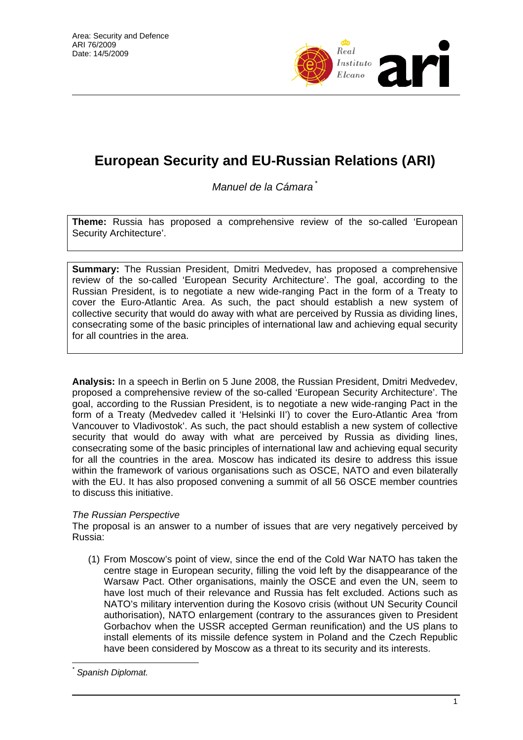

## **European Security and EU-Russian Relations (ARI)**

*Manuel de la Cámara* [\\*](#page-0-0)

**Theme:** Russia has proposed a comprehensive review of the so-called 'European Security Architecture'.

**Summary:** The Russian President, Dmitri Medvedev, has proposed a comprehensive review of the so-called 'European Security Architecture'. The goal, according to the Russian President, is to negotiate a new wide-ranging Pact in the form of a Treaty to cover the Euro-Atlantic Area. As such, the pact should establish a new system of collective security that would do away with what are perceived by Russia as dividing lines, consecrating some of the basic principles of international law and achieving equal security for all countries in the area.

**Analysis:** In a speech in Berlin on 5 June 2008, the Russian President, Dmitri Medvedev, proposed a comprehensive review of the so-called 'European Security Architecture'. The goal, according to the Russian President, is to negotiate a new wide-ranging Pact in the form of a Treaty (Medvedev called it 'Helsinki II') to cover the Euro-Atlantic Area 'from Vancouver to Vladivostok'. As such, the pact should establish a new system of collective security that would do away with what are perceived by Russia as dividing lines, consecrating some of the basic principles of international law and achieving equal security for all the countries in the area. Moscow has indicated its desire to address this issue within the framework of various organisations such as OSCE, NATO and even bilaterally with the EU. It has also proposed convening a summit of all 56 OSCE member countries to discuss this initiative.

## *The Russian Perspective*

The proposal is an answer to a number of issues that are very negatively perceived by Russia:

(1) From Moscow's point of view, since the end of the Cold War NATO has taken the centre stage in European security, filling the void left by the disappearance of the Warsaw Pact. Other organisations, mainly the OSCE and even the UN, seem to have lost much of their relevance and Russia has felt excluded. Actions such as NATO's military intervention during the Kosovo crisis (without UN Security Council authorisation), NATO enlargement (contrary to the assurances given to President Gorbachov when the USSR accepted German reunification) and the US plans to install elements of its missile defence system in Poland and the Czech Republic have been considered by Moscow as a threat to its security and its interests.

<span id="page-0-0"></span> $\overline{a}$ *\* Spanish Diplomat.*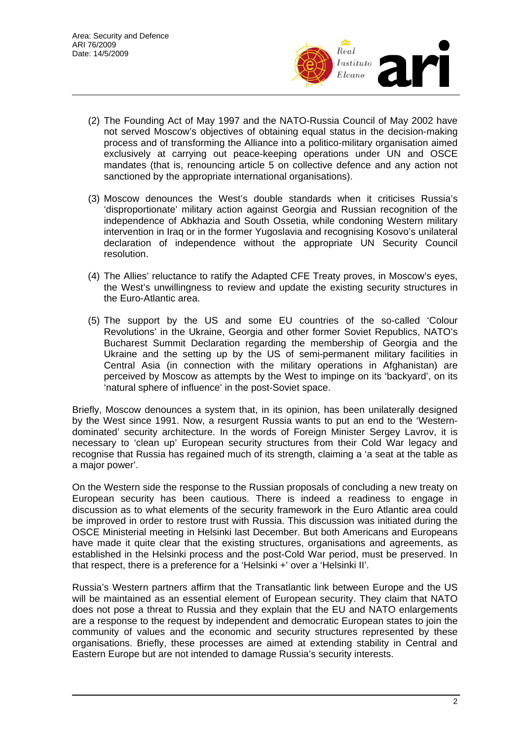

- (2) The Founding Act of May 1997 and the NATO-Russia Council of May 2002 have not served Moscow's objectives of obtaining equal status in the decision-making process and of transforming the Alliance into a politico-military organisation aimed exclusively at carrying out peace-keeping operations under UN and OSCE mandates (that is, renouncing article 5 on collective defence and any action not sanctioned by the appropriate international organisations).
- (3) Moscow denounces the West's double standards when it criticises Russia's 'disproportionate' military action against Georgia and Russian recognition of the independence of Abkhazia and South Ossetia, while condoning Western military intervention in Iraq or in the former Yugoslavia and recognising Kosovo's unilateral declaration of independence without the appropriate UN Security Council resolution.
- (4) The Allies' reluctance to ratify the Adapted CFE Treaty proves, in Moscow's eyes, the West's unwillingness to review and update the existing security structures in the Euro-Atlantic area.
- (5) The support by the US and some EU countries of the so-called 'Colour Revolutions' in the Ukraine, Georgia and other former Soviet Republics, NATO's Bucharest Summit Declaration regarding the membership of Georgia and the Ukraine and the setting up by the US of semi-permanent military facilities in Central Asia (in connection with the military operations in Afghanistan) are perceived by Moscow as attempts by the West to impinge on its 'backyard', on its 'natural sphere of influence' in the post-Soviet space.

Briefly, Moscow denounces a system that, in its opinion, has been unilaterally designed by the West since 1991. Now, a resurgent Russia wants to put an end to the 'Westerndominated' security architecture. In the words of Foreign Minister Sergey Lavrov, it is necessary to 'clean up' European security structures from their Cold War legacy and recognise that Russia has regained much of its strength, claiming a 'a seat at the table as a major power'.

On the Western side the response to the Russian proposals of concluding a new treaty on European security has been cautious. There is indeed a readiness to engage in discussion as to what elements of the security framework in the Euro Atlantic area could be improved in order to restore trust with Russia. This discussion was initiated during the OSCE Ministerial meeting in Helsinki last December. But both Americans and Europeans have made it quite clear that the existing structures, organisations and agreements, as established in the Helsinki process and the post-Cold War period, must be preserved. In that respect, there is a preference for a 'Helsinki +' over a 'Helsinki II'.

Russia's Western partners affirm that the Transatlantic link between Europe and the US will be maintained as an essential element of European security. They claim that NATO does not pose a threat to Russia and they explain that the EU and NATO enlargements are a response to the request by independent and democratic European states to join the community of values and the economic and security structures represented by these organisations. Briefly, these processes are aimed at extending stability in Central and Eastern Europe but are not intended to damage Russia's security interests.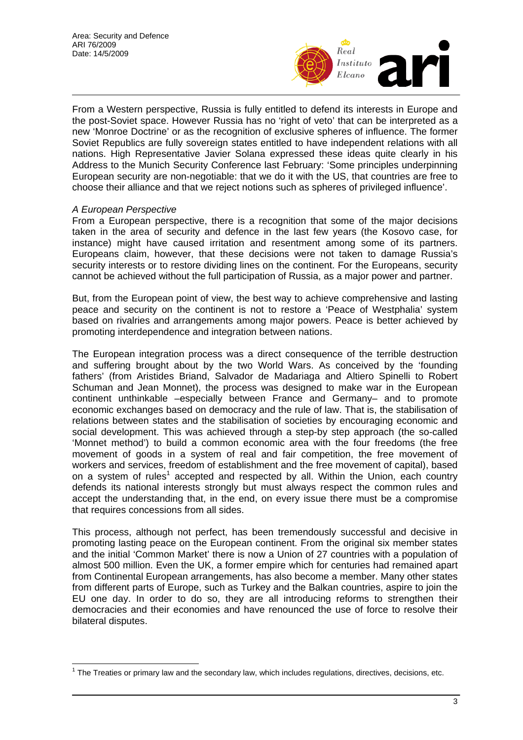

From a Western perspective, Russia is fully entitled to defend its interests in Europe and the post-Soviet space. However Russia has no 'right of veto' that can be interpreted as a new 'Monroe Doctrine' or as the recognition of exclusive spheres of influence. The former Soviet Republics are fully sovereign states entitled to have independent relations with all nations. High Representative Javier Solana expressed these ideas quite clearly in his Address to the Munich Security Conference last February: 'Some principles underpinning European security are non-negotiable: that we do it with the US, that countries are free to choose their alliance and that we reject notions such as spheres of privileged influence'.

## *A European Perspective*

From a European perspective, there is a recognition that some of the major decisions taken in the area of security and defence in the last few years (the Kosovo case, for instance) might have caused irritation and resentment among some of its partners. Europeans claim, however, that these decisions were not taken to damage Russia's security interests or to restore dividing lines on the continent. For the Europeans, security cannot be achieved without the full participation of Russia, as a major power and partner.

But, from the European point of view, the best way to achieve comprehensive and lasting peace and security on the continent is not to restore a 'Peace of Westphalia' system based on rivalries and arrangements among major powers. Peace is better achieved by promoting interdependence and integration between nations.

The European integration process was a direct consequence of the terrible destruction and suffering brought about by the two World Wars. As conceived by the 'founding fathers' (from Aristides Briand, Salvador de Madariaga and Altiero Spinelli to Robert Schuman and Jean Monnet), the process was designed to make war in the European continent unthinkable –especially between France and Germany– and to promote economic exchanges based on democracy and the rule of law. That is, the stabilisation of relations between states and the stabilisation of societies by encouraging economic and social development. This was achieved through a step-by step approach (the so-called 'Monnet method') to build a common economic area with the four freedoms (the free movement of goods in a system of real and fair competition, the free movement of workers and services, freedom of establishment and the free movement of capital), based on a system of rules<sup>[1](#page-2-0)</sup> accepted and respected by all. Within the Union, each country defends its national interests strongly but must always respect the common rules and accept the understanding that, in the end, on every issue there must be a compromise that requires concessions from all sides.

This process, although not perfect, has been tremendously successful and decisive in promoting lasting peace on the European continent. From the original six member states and the initial 'Common Market' there is now a Union of 27 countries with a population of almost 500 million. Even the UK, a former empire which for centuries had remained apart from Continental European arrangements, has also become a member. Many other states from different parts of Europe, such as Turkey and the Balkan countries, aspire to join the EU one day. In order to do so, they are all introducing reforms to strengthen their democracies and their economies and have renounced the use of force to resolve their bilateral disputes.

<span id="page-2-0"></span> $\overline{a}$ <sup>1</sup> The Treaties or primary law and the secondary law, which includes regulations, directives, decisions, etc.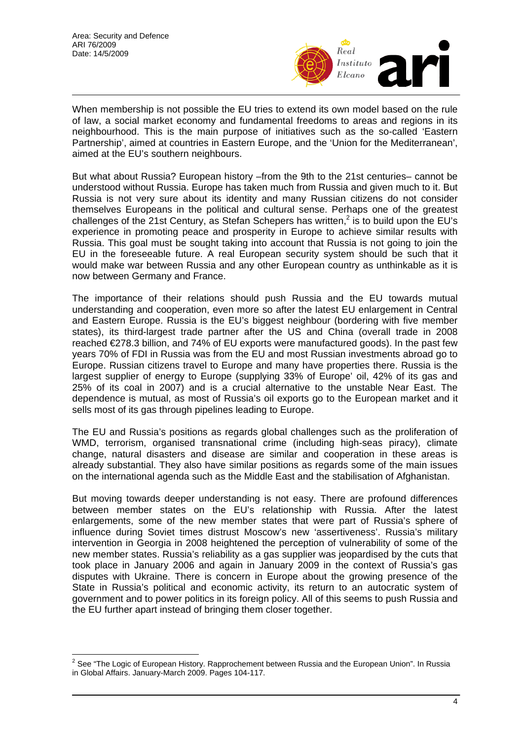$\overline{a}$ 



When membership is not possible the EU tries to extend its own model based on the rule of law, a social market economy and fundamental freedoms to areas and regions in its neighbourhood. This is the main purpose of initiatives such as the so-called 'Eastern Partnership', aimed at countries in Eastern Europe, and the 'Union for the Mediterranean', aimed at the EU's southern neighbours.

But what about Russia? European history –from the 9th to the 21st centuries– cannot be understood without Russia. Europe has taken much from Russia and given much to it. But Russia is not very sure about its identity and many Russian citizens do not consider themselves Europeans in the political and cultural sense. Perhaps one of the greatest challenges of the 21st Century, as Stefan Schepers has written,<sup>2</sup> is to build upon the EU's experience in promoting peace and prosperity in Europe to achieve similar results with Russia. This goal must be sought taking into account that Russia is not going to join the EU in the foreseeable future. A real European security system should be such that it would make war between Russia and any other European country as unthinkable as it is now between Germany and France.

The importance of their relations should push Russia and the EU towards mutual understanding and cooperation, even more so after the latest EU enlargement in Central and Eastern Europe. Russia is the EU's biggest neighbour (bordering with five member states), its third-largest trade partner after the US and China (overall trade in 2008 reached €278.3 billion, and 74% of EU exports were manufactured goods). In the past few years 70% of FDI in Russia was from the EU and most Russian investments abroad go to Europe. Russian citizens travel to Europe and many have properties there. Russia is the largest supplier of energy to Europe (supplying 33% of Europe' oil, 42% of its gas and 25% of its coal in 2007) and is a crucial alternative to the unstable Near East. The dependence is mutual, as most of Russia's oil exports go to the European market and it sells most of its gas through pipelines leading to Europe.

The EU and Russia's positions as regards global challenges such as the proliferation of WMD, terrorism, organised transnational crime (including high-seas piracy), climate change, natural disasters and disease are similar and cooperation in these areas is already substantial. They also have similar positions as regards some of the main issues on the international agenda such as the Middle East and the stabilisation of Afghanistan.

But moving towards deeper understanding is not easy. There are profound differences between member states on the EU's relationship with Russia. After the latest enlargements, some of the new member states that were part of Russia's sphere of influence during Soviet times distrust Moscow's new 'assertiveness'. Russia's military intervention in Georgia in 2008 heightened the perception of vulnerability of some of the new member states. Russia's reliability as a gas supplier was jeopardised by the cuts that took place in January 2006 and again in January 2009 in the context of Russia's gas disputes with Ukraine. There is concern in Europe about the growing presence of the State in Russia's political and economic activity, its return to an autocratic system of government and to power politics in its foreign policy. All of this seems to push Russia and the EU further apart instead of bringing them closer together.

<span id="page-3-0"></span> $^{2}$  See "The Logic of European History. Rapprochement between Russia and the European Union". In Russia in Global Affairs. January-March 2009. Pages 104-117.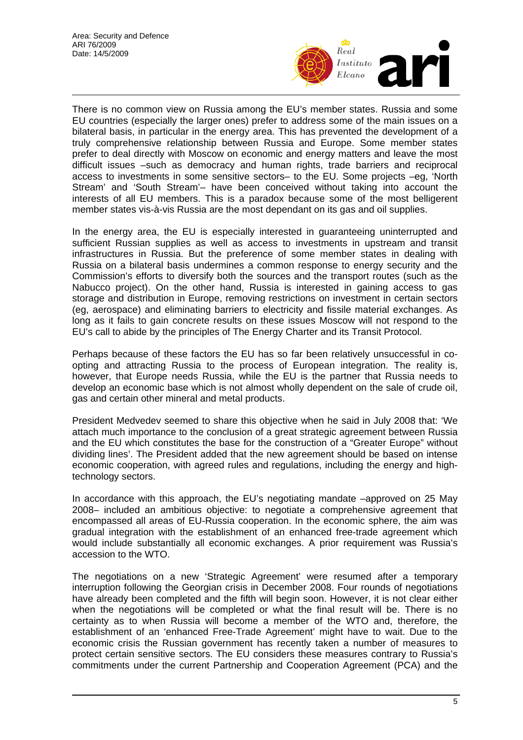

There is no common view on Russia among the EU's member states. Russia and some EU countries (especially the larger ones) prefer to address some of the main issues on a bilateral basis, in particular in the energy area. This has prevented the development of a truly comprehensive relationship between Russia and Europe. Some member states prefer to deal directly with Moscow on economic and energy matters and leave the most difficult issues –such as democracy and human rights, trade barriers and reciprocal access to investments in some sensitive sectors– to the EU. Some projects –eg, 'North Stream' and 'South Stream'– have been conceived without taking into account the interests of all EU members. This is a paradox because some of the most belligerent member states vis-à-vis Russia are the most dependant on its gas and oil supplies.

In the energy area, the EU is especially interested in guaranteeing uninterrupted and sufficient Russian supplies as well as access to investments in upstream and transit infrastructures in Russia. But the preference of some member states in dealing with Russia on a bilateral basis undermines a common response to energy security and the Commission's efforts to diversify both the sources and the transport routes (such as the Nabucco project). On the other hand, Russia is interested in gaining access to gas storage and distribution in Europe, removing restrictions on investment in certain sectors (eg, aerospace) and eliminating barriers to electricity and fissile material exchanges. As long as it fails to gain concrete results on these issues Moscow will not respond to the EU's call to abide by the principles of The Energy Charter and its Transit Protocol.

Perhaps because of these factors the EU has so far been relatively unsuccessful in coopting and attracting Russia to the process of European integration. The reality is, however, that Europe needs Russia, while the EU is the partner that Russia needs to develop an economic base which is not almost wholly dependent on the sale of crude oil, gas and certain other mineral and metal products.

President Medvedev seemed to share this objective when he said in July 2008 that: 'We attach much importance to the conclusion of a great strategic agreement between Russia and the EU which constitutes the base for the construction of a "Greater Europe" without dividing lines'. The President added that the new agreement should be based on intense economic cooperation, with agreed rules and regulations, including the energy and hightechnology sectors.

In accordance with this approach, the EU's negotiating mandate -approved on 25 May 2008– included an ambitious objective: to negotiate a comprehensive agreement that encompassed all areas of EU-Russia cooperation. In the economic sphere, the aim was gradual integration with the establishment of an enhanced free-trade agreement which would include substantially all economic exchanges. A prior requirement was Russia's accession to the WTO.

The negotiations on a new 'Strategic Agreement' were resumed after a temporary interruption following the Georgian crisis in December 2008. Four rounds of negotiations have already been completed and the fifth will begin soon. However, it is not clear either when the negotiations will be completed or what the final result will be. There is no certainty as to when Russia will become a member of the WTO and, therefore, the establishment of an 'enhanced Free-Trade Agreement' might have to wait. Due to the economic crisis the Russian government has recently taken a number of measures to protect certain sensitive sectors. The EU considers these measures contrary to Russia's commitments under the current Partnership and Cooperation Agreement (PCA) and the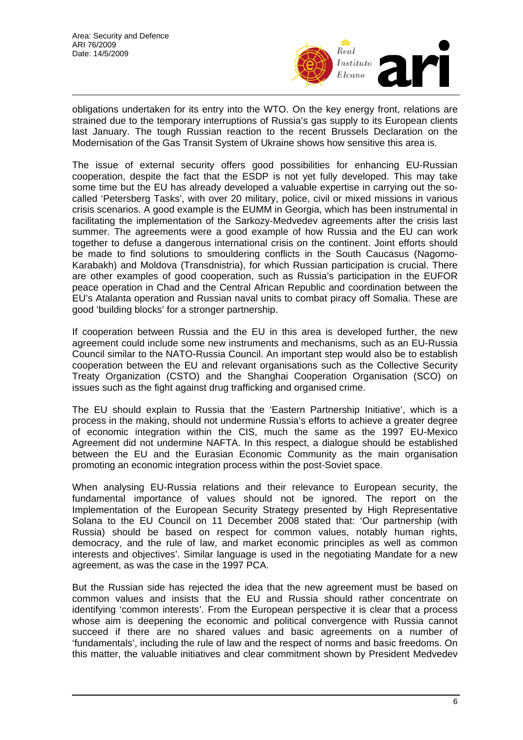

obligations undertaken for its entry into the WTO. On the key energy front, relations are strained due to the temporary interruptions of Russia's gas supply to its European clients last January. The tough Russian reaction to the recent Brussels Declaration on the Modernisation of the Gas Transit System of Ukraine shows how sensitive this area is.

The issue of external security offers good possibilities for enhancing EU-Russian cooperation, despite the fact that the ESDP is not yet fully developed. This may take some time but the EU has already developed a valuable expertise in carrying out the socalled 'Petersberg Tasks', with over 20 military, police, civil or mixed missions in various crisis scenarios. A good example is the EUMM in Georgia, which has been instrumental in facilitating the implementation of the Sarkozy-Medvedev agreements after the crisis last summer. The agreements were a good example of how Russia and the EU can work together to defuse a dangerous international crisis on the continent. Joint efforts should be made to find solutions to smouldering conflicts in the South Caucasus (Nagorno-Karabakh) and Moldova (Transdnistria), for which Russian participation is crucial. There are other examples of good cooperation, such as Russia's participation in the EUFOR peace operation in Chad and the Central African Republic and coordination between the EU's Atalanta operation and Russian naval units to combat piracy off Somalia. These are good 'building blocks' for a stronger partnership.

If cooperation between Russia and the EU in this area is developed further, the new agreement could include some new instruments and mechanisms, such as an EU-Russia Council similar to the NATO-Russia Council. An important step would also be to establish cooperation between the EU and relevant organisations such as the Collective Security Treaty Organization (CSTO) and the Shanghai Cooperation Organisation (SCO) on issues such as the fight against drug trafficking and organised crime.

The EU should explain to Russia that the 'Eastern Partnership Initiative', which is a process in the making, should not undermine Russia's efforts to achieve a greater degree of economic integration within the CIS, much the same as the 1997 EU-Mexico Agreement did not undermine NAFTA. In this respect, a dialogue should be established between the EU and the Eurasian Economic Community as the main organisation promoting an economic integration process within the post-Soviet space.

When analysing EU-Russia relations and their relevance to European security, the fundamental importance of values should not be ignored. The report on the Implementation of the European Security Strategy presented by High Representative Solana to the EU Council on 11 December 2008 stated that: 'Our partnership (with Russia) should be based on respect for common values, notably human rights, democracy, and the rule of law, and market economic principles as well as common interests and objectives'. Similar language is used in the negotiating Mandate for a new agreement, as was the case in the 1997 PCA.

But the Russian side has rejected the idea that the new agreement must be based on common values and insists that the EU and Russia should rather concentrate on identifying 'common interests'. From the European perspective it is clear that a process whose aim is deepening the economic and political convergence with Russia cannot succeed if there are no shared values and basic agreements on a number of 'fundamentals', including the rule of law and the respect of norms and basic freedoms. On this matter, the valuable initiatives and clear commitment shown by President Medvedev